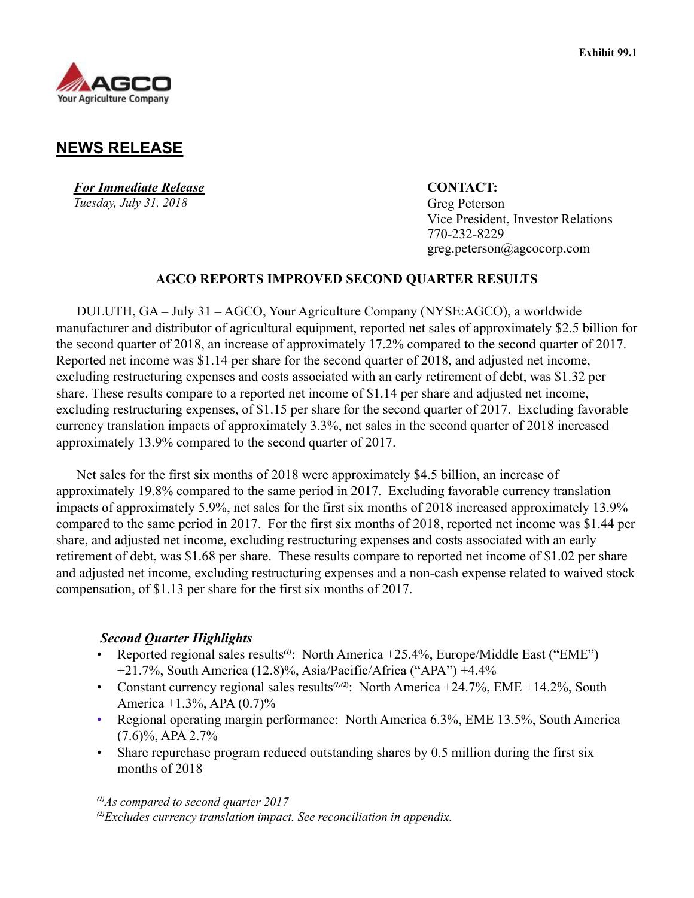

# **NEWS RELEASE**

For Immediate Release **CONTACT:** *Tuesday, July 31, 2018* Greg Peterson

Vice President, Investor Relations 770-232-8229 greg.peterson@agcocorp.com

## **AGCO REPORTS IMPROVED SECOND QUARTER RESULTS**

DULUTH, GA – July 31 – AGCO, Your Agriculture Company (NYSE:AGCO), a worldwide manufacturer and distributor of agricultural equipment, reported net sales of approximately \$2.5 billion for the second quarter of 2018, an increase of approximately 17.2% compared to the second quarter of 2017. Reported net income was \$1.14 per share for the second quarter of 2018, and adjusted net income, excluding restructuring expenses and costs associated with an early retirement of debt, was \$1.32 per share. These results compare to a reported net income of \$1.14 per share and adjusted net income, excluding restructuring expenses, of \$1.15 per share for the second quarter of 2017. Excluding favorable currency translation impacts of approximately 3.3%, net sales in the second quarter of 2018 increased approximately 13.9% compared to the second quarter of 2017.

Net sales for the first six months of 2018 were approximately \$4.5 billion, an increase of approximately 19.8% compared to the same period in 2017. Excluding favorable currency translation impacts of approximately 5.9%, net sales for the first six months of 2018 increased approximately 13.9% compared to the same period in 2017. For the first six months of 2018, reported net income was \$1.44 per share, and adjusted net income, excluding restructuring expenses and costs associated with an early retirement of debt, was \$1.68 per share. These results compare to reported net income of \$1.02 per share and adjusted net income, excluding restructuring expenses and a non-cash expense related to waived stock compensation, of \$1.13 per share for the first six months of 2017.

## *Second Quarter Highlights*

- Reported regional sales results*(1)*: North America +25.4%, Europe/Middle East ("EME") +21.7%, South America (12.8)%, Asia/Pacific/Africa ("APA") +4.4%
- Constant currency regional sales results<sup>(1)(2)</sup>: North America +24.7%, EME +14.2%, South America +1.3%, APA (0.7)%
- Regional operating margin performance: North America 6.3%, EME 13.5%, South America  $(7.6)$ %, APA 2.7%
- Share repurchase program reduced outstanding shares by 0.5 million during the first six months of 2018

*(1)As compared to second quarter 2017 (2)Excludes currency translation impact. See reconciliation in appendix.*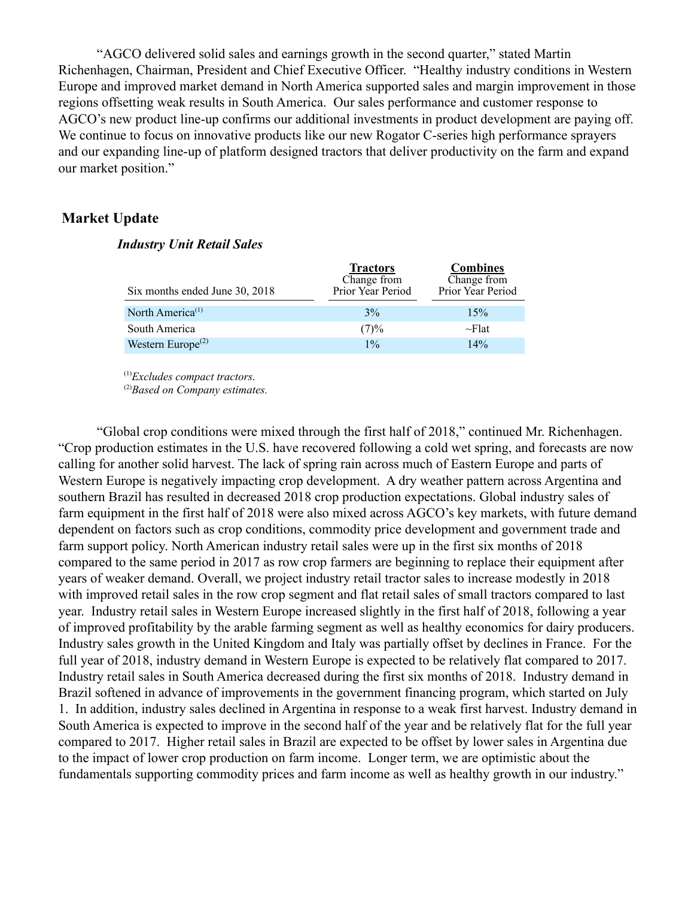"AGCO delivered solid sales and earnings growth in the second quarter," stated Martin Richenhagen, Chairman, President and Chief Executive Officer. "Healthy industry conditions in Western Europe and improved market demand in North America supported sales and margin improvement in those regions offsetting weak results in South America. Our sales performance and customer response to AGCO's new product line-up confirms our additional investments in product development are paying off. We continue to focus on innovative products like our new Rogator C-series high performance sprayers and our expanding line-up of platform designed tractors that deliver productivity on the farm and expand our market position."

## **Market Update**

### *Industry Unit Retail Sales*

| Six months ended June 30, 2018             | <b>Tractors</b><br>Change from<br>Prior Year Period | <b>Combines</b><br>Change from<br>Prior Year Period |
|--------------------------------------------|-----------------------------------------------------|-----------------------------------------------------|
| North America <sup>(1)</sup>               | 3%                                                  | 15%                                                 |
| South America                              | (7)%                                                | $\sim$ Flat                                         |
| Western Europe <sup><math>(2)</math></sup> | $1\%$                                               | 14%                                                 |

(1)*Excludes compact tractors.* 

(2)*Based on Company estimates.*

"Global crop conditions were mixed through the first half of 2018," continued Mr. Richenhagen. "Crop production estimates in the U.S. have recovered following a cold wet spring, and forecasts are now calling for another solid harvest. The lack of spring rain across much of Eastern Europe and parts of Western Europe is negatively impacting crop development. A dry weather pattern across Argentina and southern Brazil has resulted in decreased 2018 crop production expectations. Global industry sales of farm equipment in the first half of 2018 were also mixed across AGCO's key markets, with future demand dependent on factors such as crop conditions, commodity price development and government trade and farm support policy. North American industry retail sales were up in the first six months of 2018 compared to the same period in 2017 as row crop farmers are beginning to replace their equipment after years of weaker demand. Overall, we project industry retail tractor sales to increase modestly in 2018 with improved retail sales in the row crop segment and flat retail sales of small tractors compared to last year. Industry retail sales in Western Europe increased slightly in the first half of 2018, following a year of improved profitability by the arable farming segment as well as healthy economics for dairy producers. Industry sales growth in the United Kingdom and Italy was partially offset by declines in France. For the full year of 2018, industry demand in Western Europe is expected to be relatively flat compared to 2017. Industry retail sales in South America decreased during the first six months of 2018. Industry demand in Brazil softened in advance of improvements in the government financing program, which started on July 1. In addition, industry sales declined in Argentina in response to a weak first harvest. Industry demand in South America is expected to improve in the second half of the year and be relatively flat for the full year compared to 2017. Higher retail sales in Brazil are expected to be offset by lower sales in Argentina due to the impact of lower crop production on farm income. Longer term, we are optimistic about the fundamentals supporting commodity prices and farm income as well as healthy growth in our industry."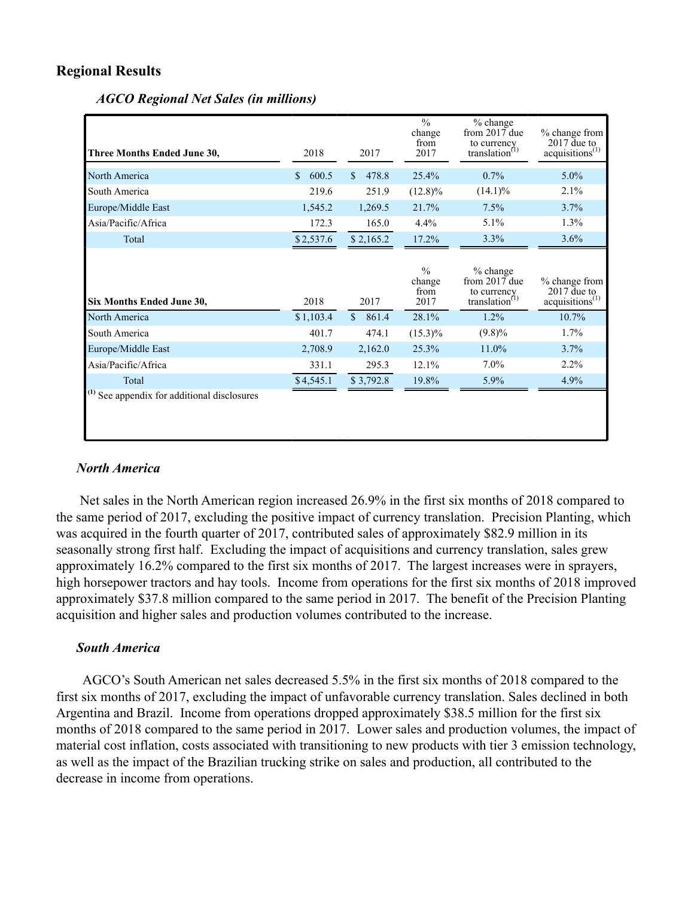## **Regional Results**

| <b>Three Months Ended June 30,</b>      | 2018         | 2017                   | $\frac{0}{0}$<br>change<br>from<br>2017 | $%$ change<br>from $2017$ due<br>to currency<br>translation $(1)$                                  | % change from<br>$2017$ due to<br>acquisitions <sup>(1)</sup> |
|-----------------------------------------|--------------|------------------------|-----------------------------------------|----------------------------------------------------------------------------------------------------|---------------------------------------------------------------|
| North America                           | 600.5<br>\$. | 478.8<br>$\mathbf{s}$  | 25.4%                                   | 0.7%                                                                                               | $5.0\%$                                                       |
| South America                           | 219.6        | 251.9                  | $(12.8)\%$                              | $(14.1)\%$                                                                                         | 2.1%                                                          |
| Europe/Middle East                      | 1,545.2      | 1,269.5                | 21.7%                                   | 7.5%                                                                                               | 3.7%                                                          |
| Asia/Pacific/Africa                     | 172.3        | 165.0                  | 4.4%                                    | 5.1%                                                                                               | 1.3%                                                          |
| Total                                   | \$2,537.6    | \$2,165.2              | 17.2%                                   | 3.3%                                                                                               | 3.6%                                                          |
| Six Months Ended June 30,               | 2018         | 2017                   | $\frac{0}{0}$<br>change<br>from<br>2017 | $%$ change<br>from $201\overline{7}$ due<br>to currency<br>translation <sup><math>(1)</math></sup> | % change from<br>$2017$ due to<br>acquisitions <sup>(1)</sup> |
| North America                           | \$1,103.4    | $\mathcal{S}$<br>861.4 | 28.1%                                   | 1.2%                                                                                               | 10.7%                                                         |
| South America                           | 401.7        | 474.1                  | $(15.3)\%$                              | $(9.8)\%$                                                                                          | 1.7%                                                          |
| Europe/Middle East                      | 2,708.9      | 2,162.0                | 25.3%                                   | 11.0%                                                                                              | 3.7%                                                          |
| Asia/Pacific/Africa                     | 331.1        | 295.3                  | 12.1%                                   | $7.0\%$                                                                                            | 2.2%                                                          |
| Total                                   | \$4,545.1    | \$3,792.8              | 19.8%                                   | 5.9%                                                                                               | 4.9%                                                          |
| See appendix for additional disclosures |              |                        |                                         |                                                                                                    |                                                               |

## *AGCO Regional Net Sales (in millions)*

## *North America*

 Net sales in the North American region increased 26.9% in the first six months of 2018 compared to the same period of 2017, excluding the positive impact of currency translation. Precision Planting, which was acquired in the fourth quarter of 2017, contributed sales of approximately \$82.9 million in its seasonally strong first half. Excluding the impact of acquisitions and currency translation, sales grew approximately 16.2% compared to the first six months of 2017. The largest increases were in sprayers, high horsepower tractors and hay tools. Income from operations for the first six months of 2018 improved approximately \$37.8 million compared to the same period in 2017. The benefit of the Precision Planting acquisition and higher sales and production volumes contributed to the increase.

## *South America*

AGCO's South American net sales decreased 5.5% in the first six months of 2018 compared to the first six months of 2017, excluding the impact of unfavorable currency translation. Sales declined in both Argentina and Brazil. Income from operations dropped approximately \$38.5 million for the first six months of 2018 compared to the same period in 2017. Lower sales and production volumes, the impact of material cost inflation, costs associated with transitioning to new products with tier 3 emission technology, as well as the impact of the Brazilian trucking strike on sales and production, all contributed to the decrease in income from operations.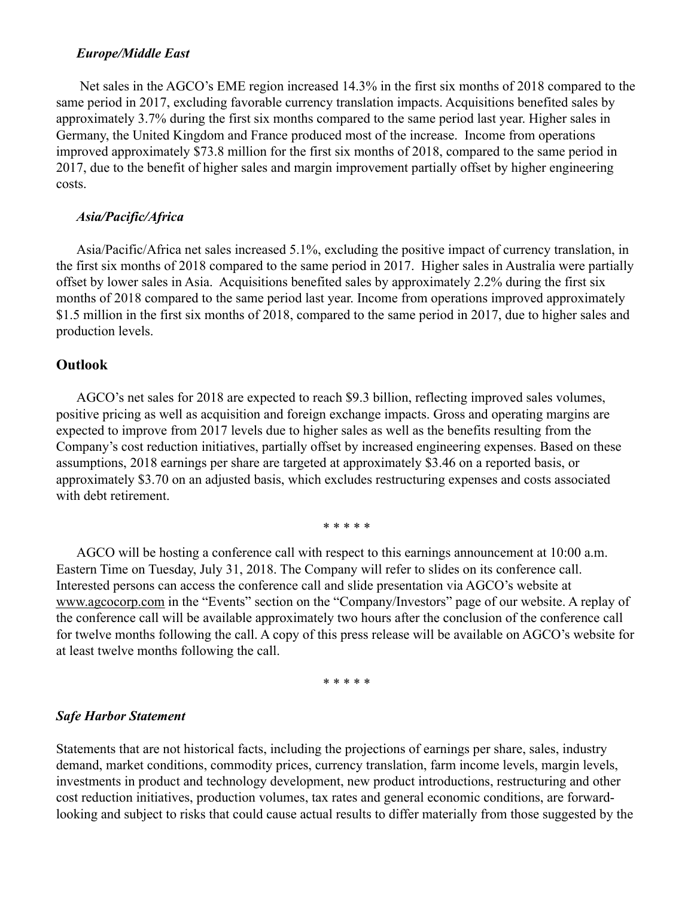#### *Europe/Middle East*

 Net sales in the AGCO's EME region increased 14.3% in the first six months of 2018 compared to the same period in 2017, excluding favorable currency translation impacts. Acquisitions benefited sales by approximately 3.7% during the first six months compared to the same period last year. Higher sales in Germany, the United Kingdom and France produced most of the increase. Income from operations improved approximately \$73.8 million for the first six months of 2018, compared to the same period in 2017, due to the benefit of higher sales and margin improvement partially offset by higher engineering costs.

#### *Asia/Pacific/Africa*

Asia/Pacific/Africa net sales increased 5.1%, excluding the positive impact of currency translation, in the first six months of 2018 compared to the same period in 2017. Higher sales in Australia were partially offset by lower sales in Asia. Acquisitions benefited sales by approximately 2.2% during the first six months of 2018 compared to the same period last year. Income from operations improved approximately \$1.5 million in the first six months of 2018, compared to the same period in 2017, due to higher sales and production levels.

### **Outlook**

AGCO's net sales for 2018 are expected to reach \$9.3 billion, reflecting improved sales volumes, positive pricing as well as acquisition and foreign exchange impacts. Gross and operating margins are expected to improve from 2017 levels due to higher sales as well as the benefits resulting from the Company's cost reduction initiatives, partially offset by increased engineering expenses. Based on these assumptions, 2018 earnings per share are targeted at approximately \$3.46 on a reported basis, or approximately \$3.70 on an adjusted basis, which excludes restructuring expenses and costs associated with debt retirement.

\* \* \* \* \*

AGCO will be hosting a conference call with respect to this earnings announcement at 10:00 a.m. Eastern Time on Tuesday, July 31, 2018. The Company will refer to slides on its conference call. Interested persons can access the conference call and slide presentation via AGCO's website at www.agcocorp.com in the "Events" section on the "Company/Investors" page of our website. A replay of the conference call will be available approximately two hours after the conclusion of the conference call for twelve months following the call. A copy of this press release will be available on AGCO's website for at least twelve months following the call.

#### \* \* \* \* \*

#### *Safe Harbor Statement*

Statements that are not historical facts, including the projections of earnings per share, sales, industry demand, market conditions, commodity prices, currency translation, farm income levels, margin levels, investments in product and technology development, new product introductions, restructuring and other cost reduction initiatives, production volumes, tax rates and general economic conditions, are forwardlooking and subject to risks that could cause actual results to differ materially from those suggested by the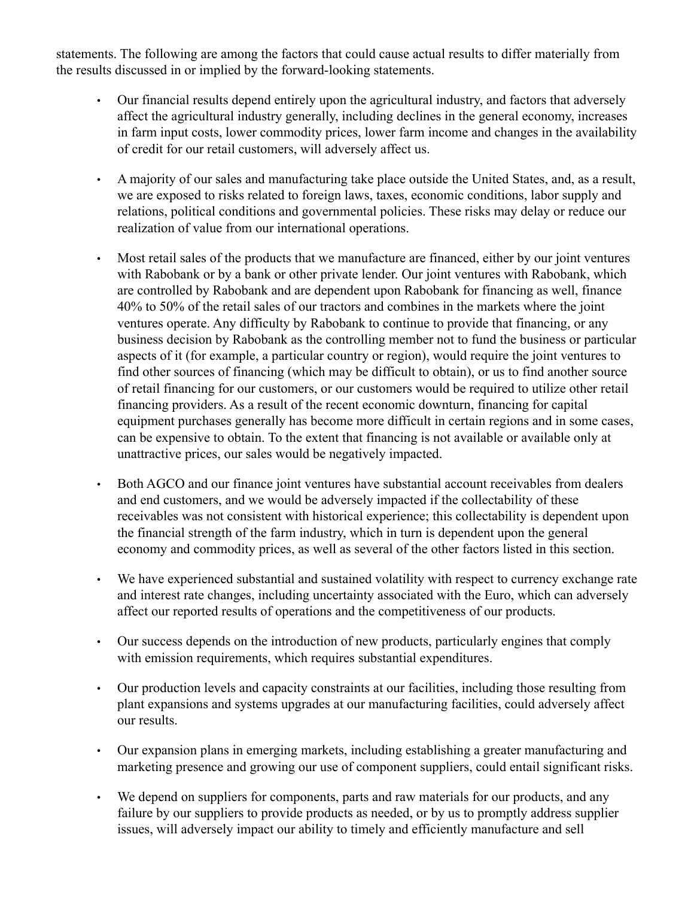statements. The following are among the factors that could cause actual results to differ materially from the results discussed in or implied by the forward-looking statements.

- Our financial results depend entirely upon the agricultural industry, and factors that adversely affect the agricultural industry generally, including declines in the general economy, increases in farm input costs, lower commodity prices, lower farm income and changes in the availability of credit for our retail customers, will adversely affect us.
- A majority of our sales and manufacturing take place outside the United States, and, as a result, we are exposed to risks related to foreign laws, taxes, economic conditions, labor supply and relations, political conditions and governmental policies. These risks may delay or reduce our realization of value from our international operations.
- Most retail sales of the products that we manufacture are financed, either by our joint ventures with Rabobank or by a bank or other private lender. Our joint ventures with Rabobank, which are controlled by Rabobank and are dependent upon Rabobank for financing as well, finance 40% to 50% of the retail sales of our tractors and combines in the markets where the joint ventures operate. Any difficulty by Rabobank to continue to provide that financing, or any business decision by Rabobank as the controlling member not to fund the business or particular aspects of it (for example, a particular country or region), would require the joint ventures to find other sources of financing (which may be difficult to obtain), or us to find another source of retail financing for our customers, or our customers would be required to utilize other retail financing providers. As a result of the recent economic downturn, financing for capital equipment purchases generally has become more difficult in certain regions and in some cases, can be expensive to obtain. To the extent that financing is not available or available only at unattractive prices, our sales would be negatively impacted.
- Both AGCO and our finance joint ventures have substantial account receivables from dealers and end customers, and we would be adversely impacted if the collectability of these receivables was not consistent with historical experience; this collectability is dependent upon the financial strength of the farm industry, which in turn is dependent upon the general economy and commodity prices, as well as several of the other factors listed in this section.
- We have experienced substantial and sustained volatility with respect to currency exchange rate and interest rate changes, including uncertainty associated with the Euro, which can adversely affect our reported results of operations and the competitiveness of our products.
- Our success depends on the introduction of new products, particularly engines that comply with emission requirements, which requires substantial expenditures.
- Our production levels and capacity constraints at our facilities, including those resulting from plant expansions and systems upgrades at our manufacturing facilities, could adversely affect our results.
- Our expansion plans in emerging markets, including establishing a greater manufacturing and marketing presence and growing our use of component suppliers, could entail significant risks.
- We depend on suppliers for components, parts and raw materials for our products, and any failure by our suppliers to provide products as needed, or by us to promptly address supplier issues, will adversely impact our ability to timely and efficiently manufacture and sell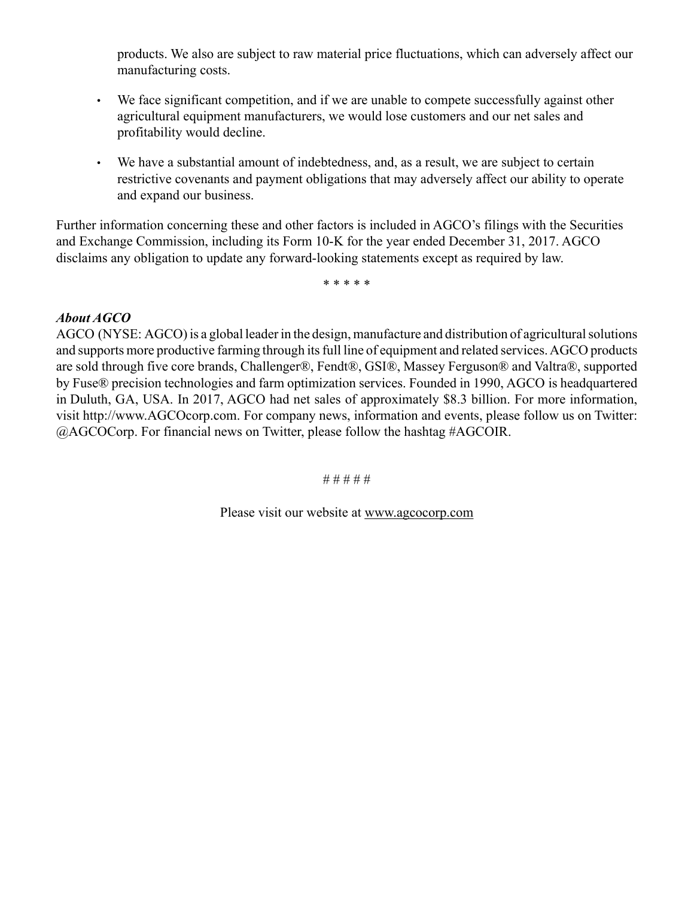products. We also are subject to raw material price fluctuations, which can adversely affect our manufacturing costs.

- We face significant competition, and if we are unable to compete successfully against other agricultural equipment manufacturers, we would lose customers and our net sales and profitability would decline.
- We have a substantial amount of indebtedness, and, as a result, we are subject to certain restrictive covenants and payment obligations that may adversely affect our ability to operate and expand our business.

Further information concerning these and other factors is included in AGCO's filings with the Securities and Exchange Commission, including its Form 10-K for the year ended December 31, 2017. AGCO disclaims any obligation to update any forward-looking statements except as required by law.

\* \* \* \* \*

## *About AGCO*

AGCO (NYSE: AGCO) is a global leader in the design, manufacture and distribution of agricultural solutions and supports more productive farming through its full line of equipment and related services. AGCO products are sold through five core brands, Challenger®, Fendt®, GSI®, Massey Ferguson® and Valtra®, supported by Fuse® precision technologies and farm optimization services. Founded in 1990, AGCO is headquartered in Duluth, GA, USA. In 2017, AGCO had net sales of approximately \$8.3 billion. For more information, visit http://www.AGCOcorp.com. For company news, information and events, please follow us on Twitter: @AGCOCorp. For financial news on Twitter, please follow the hashtag #AGCOIR.

# # # # #

Please visit our website at www.agcocorp.com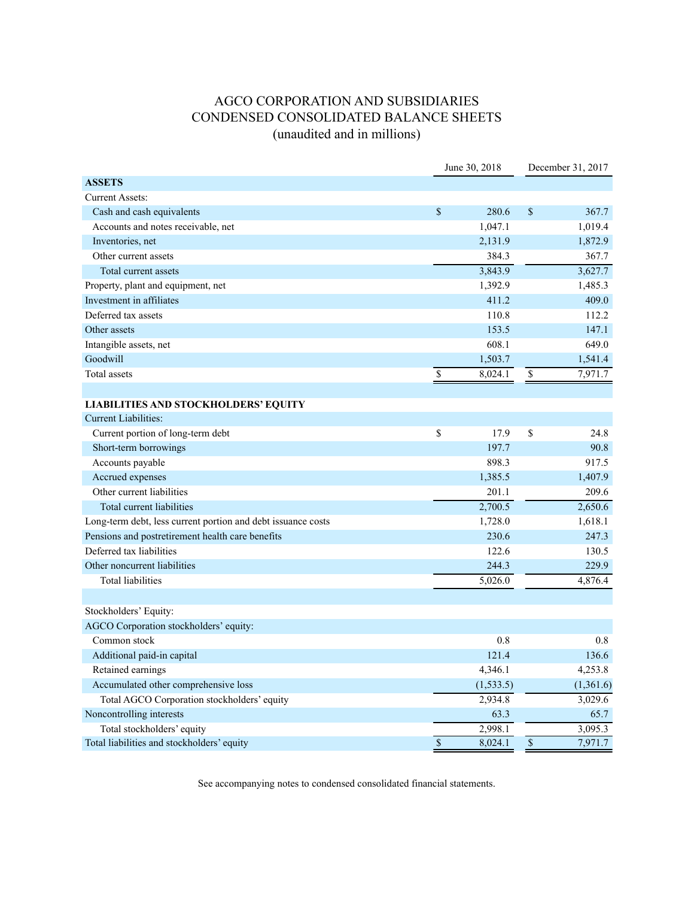## AGCO CORPORATION AND SUBSIDIARIES CONDENSED CONSOLIDATED BALANCE SHEETS (unaudited and in millions)

|                                                              |                                   | June 30, 2018 | December 31, 2017 |           |
|--------------------------------------------------------------|-----------------------------------|---------------|-------------------|-----------|
| <b>ASSETS</b>                                                |                                   |               |                   |           |
| <b>Current Assets:</b>                                       |                                   |               |                   |           |
| Cash and cash equivalents                                    | \$                                | 280.6         | \$                | 367.7     |
| Accounts and notes receivable, net                           |                                   | 1,047.1       |                   | 1,019.4   |
| Inventories, net                                             |                                   | 2,131.9       |                   | 1,872.9   |
| Other current assets                                         |                                   | 384.3         |                   | 367.7     |
| Total current assets                                         |                                   | 3,843.9       |                   | 3,627.7   |
| Property, plant and equipment, net                           |                                   | 1,392.9       |                   | 1,485.3   |
| Investment in affiliates                                     |                                   | 411.2         |                   | 409.0     |
| Deferred tax assets                                          |                                   | 110.8         |                   | 112.2     |
| Other assets                                                 |                                   | 153.5         |                   | 147.1     |
| Intangible assets, net                                       |                                   | 608.1         |                   | 649.0     |
| Goodwill                                                     |                                   | 1,503.7       |                   | 1,541.4   |
| Total assets                                                 | $\mathbb{S}% _{t}\left( t\right)$ | 8,024.1       | \$                | 7,971.7   |
|                                                              |                                   |               |                   |           |
| LIABILITIES AND STOCKHOLDERS' EQUITY                         |                                   |               |                   |           |
| <b>Current Liabilities:</b>                                  |                                   |               |                   |           |
| Current portion of long-term debt                            | \$                                | 17.9          | \$                | 24.8      |
| Short-term borrowings                                        |                                   | 197.7         |                   | 90.8      |
| Accounts payable                                             |                                   | 898.3         |                   | 917.5     |
| Accrued expenses                                             |                                   | 1,385.5       |                   | 1,407.9   |
| Other current liabilities                                    |                                   | 201.1         |                   | 209.6     |
| Total current liabilities                                    |                                   | 2,700.5       |                   | 2,650.6   |
| Long-term debt, less current portion and debt issuance costs |                                   | 1,728.0       |                   | 1,618.1   |
| Pensions and postretirement health care benefits             |                                   | 230.6         |                   | 247.3     |
| Deferred tax liabilities                                     |                                   | 122.6         |                   | 130.5     |
| Other noncurrent liabilities                                 |                                   | 244.3         |                   | 229.9     |
| Total liabilities                                            |                                   | 5,026.0       |                   | 4,876.4   |
|                                                              |                                   |               |                   |           |
| Stockholders' Equity:                                        |                                   |               |                   |           |
| AGCO Corporation stockholders' equity:                       |                                   |               |                   |           |
| Common stock                                                 |                                   | 0.8           |                   | 0.8       |
| Additional paid-in capital                                   |                                   | 121.4         |                   | 136.6     |
| Retained earnings                                            |                                   | 4,346.1       |                   | 4,253.8   |
| Accumulated other comprehensive loss                         |                                   | (1, 533.5)    |                   | (1,361.6) |
| Total AGCO Corporation stockholders' equity                  |                                   | 2,934.8       |                   | 3,029.6   |
| Noncontrolling interests                                     |                                   | 63.3          |                   | 65.7      |
| Total stockholders' equity                                   |                                   | 2,998.1       |                   | 3,095.3   |
| Total liabilities and stockholders' equity                   | $\overline{\mathcal{S}}$          | 8,024.1       | \$                | 7,971.7   |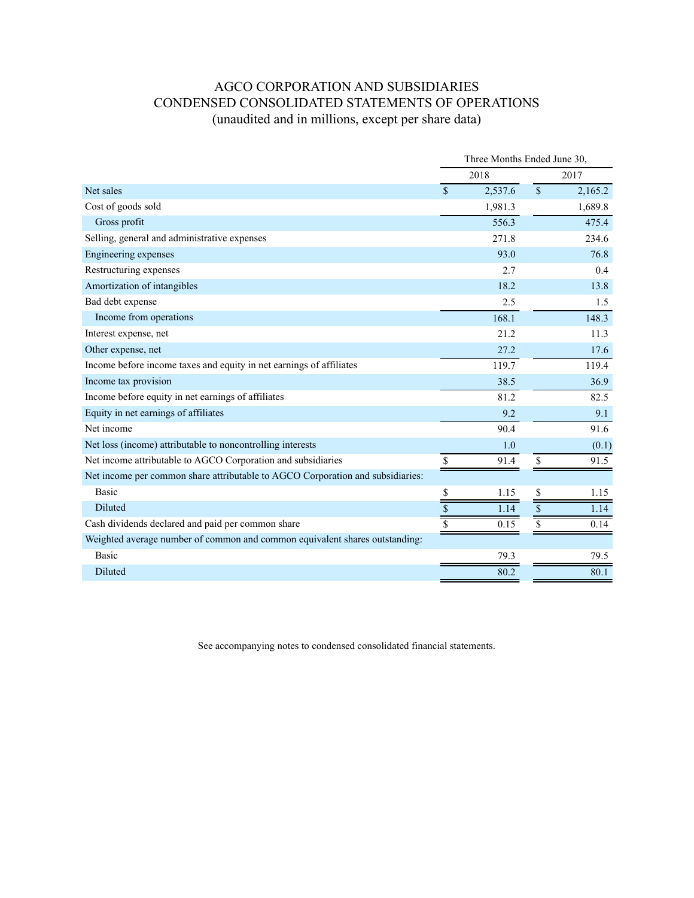## AGCO CORPORATION AND SUBSIDIARIES CONDENSED CONSOLIDATED STATEMENTS OF OPERATIONS (unaudited and in millions, except per share data)

|                                                                                |               | Three Months Ended June 30, |               |         |  |  |
|--------------------------------------------------------------------------------|---------------|-----------------------------|---------------|---------|--|--|
|                                                                                |               | 2018                        |               | 2017    |  |  |
| Net sales                                                                      | $\mathcal{S}$ | 2,537.6                     | $\mathsf{\$}$ | 2,165.2 |  |  |
| Cost of goods sold                                                             |               | 1,981.3                     |               | 1,689.8 |  |  |
| Gross profit                                                                   |               | 556.3                       |               | 475.4   |  |  |
| Selling, general and administrative expenses                                   |               | 271.8                       |               | 234.6   |  |  |
| Engineering expenses                                                           |               | 93.0                        |               | 76.8    |  |  |
| Restructuring expenses                                                         |               | 2.7                         |               | 0.4     |  |  |
| Amortization of intangibles                                                    |               | 18.2                        |               | 13.8    |  |  |
| Bad debt expense                                                               |               | 2.5                         |               | 1.5     |  |  |
| Income from operations                                                         |               | 168.1                       |               | 148.3   |  |  |
| Interest expense, net                                                          |               | 21.2                        |               | 11.3    |  |  |
| Other expense, net                                                             |               | 27.2                        |               | 17.6    |  |  |
| Income before income taxes and equity in net earnings of affiliates            |               | 119.7                       |               | 119.4   |  |  |
| Income tax provision                                                           |               | 38.5                        |               | 36.9    |  |  |
| Income before equity in net earnings of affiliates                             |               | 81.2                        |               | 82.5    |  |  |
| Equity in net earnings of affiliates                                           |               | 9.2                         |               | 9.1     |  |  |
| Net income                                                                     |               | 90.4                        |               | 91.6    |  |  |
| Net loss (income) attributable to noncontrolling interests                     |               | 1.0                         |               | (0.1)   |  |  |
| Net income attributable to AGCO Corporation and subsidiaries                   | \$            | 91.4                        | \$            | 91.5    |  |  |
| Net income per common share attributable to AGCO Corporation and subsidiaries: |               |                             |               |         |  |  |
| <b>Basic</b>                                                                   | \$            | 1.15                        | \$            | 1.15    |  |  |
| Diluted                                                                        | S             | 1.14                        | \$            | 1.14    |  |  |
| Cash dividends declared and paid per common share                              |               | 0.15                        | \$            | 0.14    |  |  |
| Weighted average number of common and common equivalent shares outstanding:    |               |                             |               |         |  |  |
| <b>Basic</b>                                                                   |               | 79.3                        |               | 79.5    |  |  |
| Diluted                                                                        |               | 80.2                        |               | 80.1    |  |  |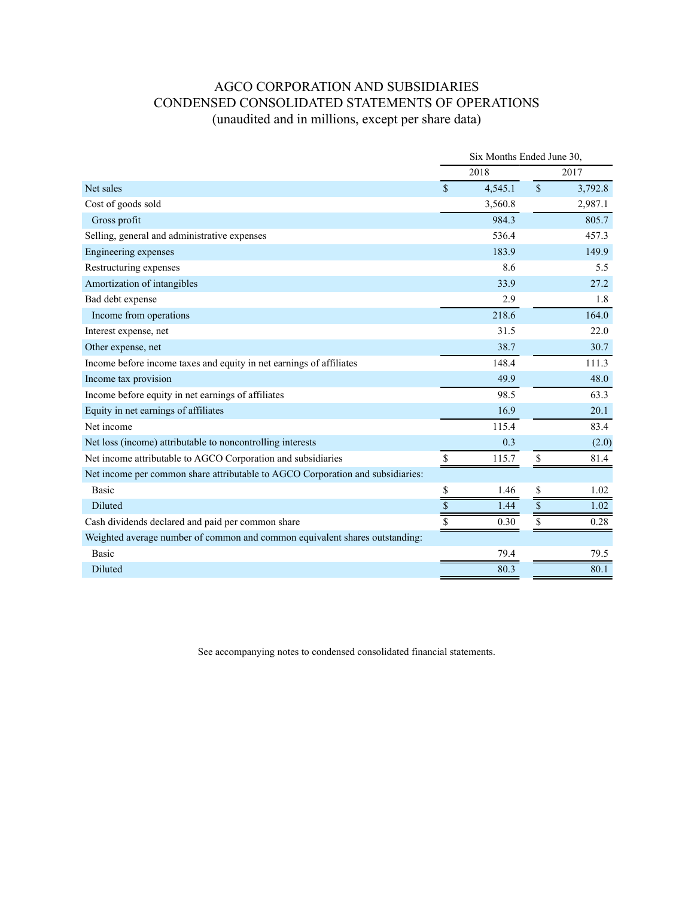## AGCO CORPORATION AND SUBSIDIARIES CONDENSED CONSOLIDATED STATEMENTS OF OPERATIONS (unaudited and in millions, except per share data)

|                                                                                |               |         | Six Months Ended June 30. |         |  |
|--------------------------------------------------------------------------------|---------------|---------|---------------------------|---------|--|
|                                                                                |               | 2018    |                           | 2017    |  |
| Net sales                                                                      | $\mathcal{S}$ | 4,545.1 | $\mathbf{\hat{S}}$        | 3,792.8 |  |
| Cost of goods sold                                                             |               | 3,560.8 |                           | 2,987.1 |  |
| Gross profit                                                                   |               | 984.3   |                           | 805.7   |  |
| Selling, general and administrative expenses                                   |               | 536.4   |                           | 457.3   |  |
| Engineering expenses                                                           |               | 183.9   |                           | 149.9   |  |
| Restructuring expenses                                                         |               | 8.6     |                           | 5.5     |  |
| Amortization of intangibles                                                    |               | 33.9    |                           | 27.2    |  |
| Bad debt expense                                                               |               | 2.9     |                           | 1.8     |  |
| Income from operations                                                         |               | 218.6   |                           | 164.0   |  |
| Interest expense, net                                                          |               | 31.5    |                           | 22.0    |  |
| Other expense, net                                                             |               | 38.7    |                           | 30.7    |  |
| Income before income taxes and equity in net earnings of affiliates            |               | 148.4   |                           | 111.3   |  |
| Income tax provision                                                           |               | 49.9    |                           | 48.0    |  |
| Income before equity in net earnings of affiliates                             |               | 98.5    |                           | 63.3    |  |
| Equity in net earnings of affiliates                                           |               | 16.9    |                           | 20.1    |  |
| Net income                                                                     |               | 115.4   |                           | 83.4    |  |
| Net loss (income) attributable to noncontrolling interests                     |               | 0.3     |                           | (2.0)   |  |
| Net income attributable to AGCO Corporation and subsidiaries                   | \$            | 115.7   | \$                        | 81.4    |  |
| Net income per common share attributable to AGCO Corporation and subsidiaries: |               |         |                           |         |  |
| <b>Basic</b>                                                                   | \$            | 1.46    | \$                        | 1.02    |  |
| <b>Diluted</b>                                                                 | \$            | 1.44    | $\mathbb S$               | 1.02    |  |
| Cash dividends declared and paid per common share                              |               | 0.30    | \$                        | 0.28    |  |
| Weighted average number of common and common equivalent shares outstanding:    |               |         |                           |         |  |
| <b>Basic</b>                                                                   |               | 79.4    |                           | 79.5    |  |
| Diluted                                                                        |               | 80.3    |                           | 80.1    |  |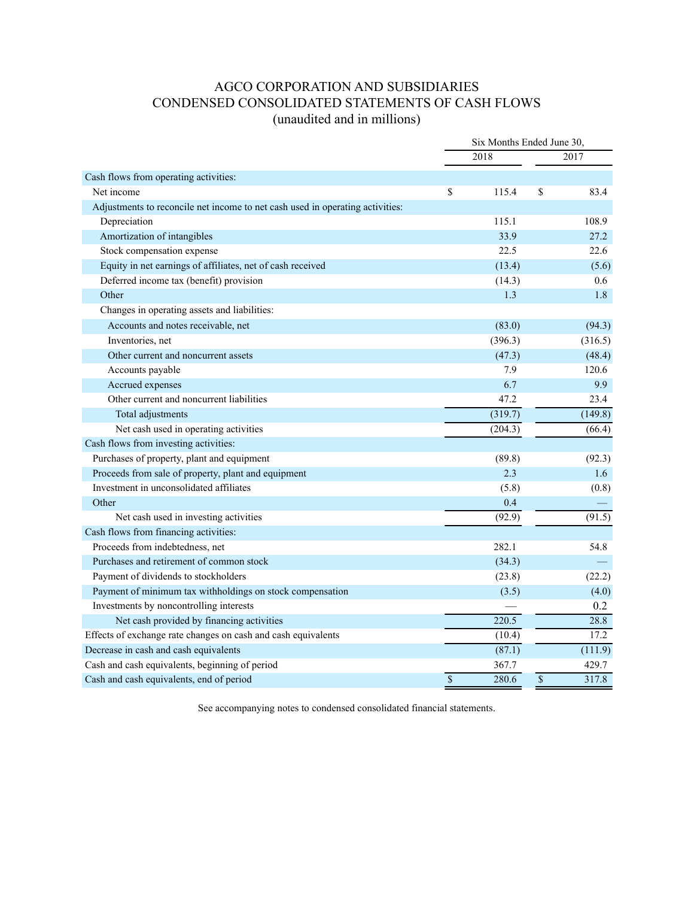## AGCO CORPORATION AND SUBSIDIARIES CONDENSED CONSOLIDATED STATEMENTS OF CASH FLOWS (unaudited and in millions)

|                                                                               |                 | Six Months Ended June 30, |                 |         |  |
|-------------------------------------------------------------------------------|-----------------|---------------------------|-----------------|---------|--|
|                                                                               |                 | 2018                      |                 | 2017    |  |
| Cash flows from operating activities:                                         |                 |                           |                 |         |  |
| Net income                                                                    | \$              | 115.4                     | \$              | 83.4    |  |
| Adjustments to reconcile net income to net cash used in operating activities: |                 |                           |                 |         |  |
| Depreciation                                                                  |                 | 115.1                     |                 | 108.9   |  |
| Amortization of intangibles                                                   |                 | 33.9                      |                 | 27.2    |  |
| Stock compensation expense                                                    |                 | 22.5                      |                 | 22.6    |  |
| Equity in net earnings of affiliates, net of cash received                    |                 | (13.4)                    |                 | (5.6)   |  |
| Deferred income tax (benefit) provision                                       |                 | (14.3)                    |                 | 0.6     |  |
| Other                                                                         |                 | 1.3                       |                 | 1.8     |  |
| Changes in operating assets and liabilities:                                  |                 |                           |                 |         |  |
| Accounts and notes receivable, net                                            |                 | (83.0)                    |                 | (94.3)  |  |
| Inventories, net                                                              |                 | (396.3)                   |                 | (316.5) |  |
| Other current and noncurrent assets                                           |                 | (47.3)                    |                 | (48.4)  |  |
| Accounts payable                                                              |                 | 7.9                       |                 | 120.6   |  |
| Accrued expenses                                                              |                 | 6.7                       |                 | 9.9     |  |
| Other current and noncurrent liabilities                                      |                 | 47.2                      |                 | 23.4    |  |
| Total adjustments                                                             |                 | (319.7)                   |                 | (149.8) |  |
| Net cash used in operating activities                                         |                 | (204.3)                   |                 | (66.4)  |  |
| Cash flows from investing activities:                                         |                 |                           |                 |         |  |
| Purchases of property, plant and equipment                                    |                 | (89.8)                    |                 | (92.3)  |  |
| Proceeds from sale of property, plant and equipment                           |                 | 2.3                       |                 | 1.6     |  |
| Investment in unconsolidated affiliates                                       |                 | (5.8)                     |                 | (0.8)   |  |
| Other                                                                         |                 | 0.4                       |                 |         |  |
| Net cash used in investing activities                                         |                 | (92.9)                    |                 | (91.5)  |  |
| Cash flows from financing activities:                                         |                 |                           |                 |         |  |
| Proceeds from indebtedness, net                                               |                 | 282.1                     |                 | 54.8    |  |
| Purchases and retirement of common stock                                      |                 | (34.3)                    |                 |         |  |
| Payment of dividends to stockholders                                          |                 | (23.8)                    |                 | (22.2)  |  |
| Payment of minimum tax withholdings on stock compensation                     |                 | (3.5)                     |                 | (4.0)   |  |
| Investments by noncontrolling interests                                       |                 |                           |                 | 0.2     |  |
| Net cash provided by financing activities                                     |                 | $\overline{220.5}$        |                 | 28.8    |  |
| Effects of exchange rate changes on cash and cash equivalents                 |                 | (10.4)                    |                 | 17.2    |  |
| Decrease in cash and cash equivalents                                         |                 | (87.1)                    |                 | (111.9) |  |
| Cash and cash equivalents, beginning of period                                |                 | 367.7                     |                 | 429.7   |  |
| Cash and cash equivalents, end of period                                      | $\overline{\$}$ | 280.6                     | $\overline{\$}$ | 317.8   |  |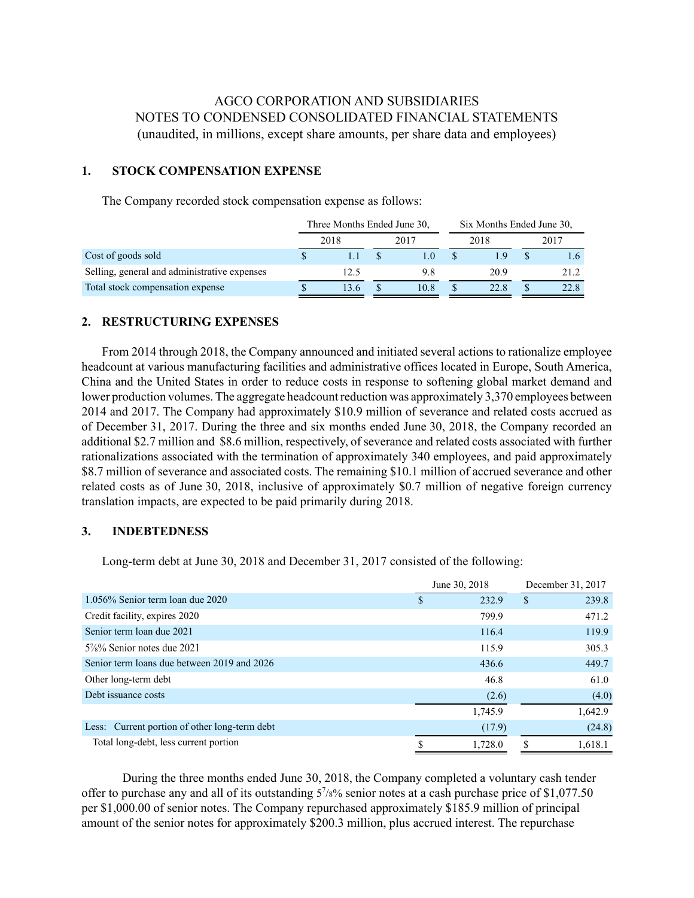## AGCO CORPORATION AND SUBSIDIARIES NOTES TO CONDENSED CONSOLIDATED FINANCIAL STATEMENTS (unaudited, in millions, except share amounts, per share data and employees)

## **1. STOCK COMPENSATION EXPENSE**

The Company recorded stock compensation expense as follows:

|                                              |      | Three Months Ended June 30, |  |      | Six Months Ended June 30, |      |      |                  |  |
|----------------------------------------------|------|-----------------------------|--|------|---------------------------|------|------|------------------|--|
|                                              | 2018 |                             |  | 2017 |                           | 2018 | 2017 |                  |  |
| Cost of goods sold                           | 1.1  |                             |  |      |                           |      |      | 1.6 <sub>1</sub> |  |
| Selling, general and administrative expenses |      | 12.5                        |  | 9.8  |                           | 20.9 |      | 21.2             |  |
| Total stock compensation expense             | 13.6 |                             |  | 10.8 |                           | 22.8 |      | 22.8             |  |

### **2. RESTRUCTURING EXPENSES**

From 2014 through 2018, the Company announced and initiated several actions to rationalize employee headcount at various manufacturing facilities and administrative offices located in Europe, South America, China and the United States in order to reduce costs in response to softening global market demand and lower production volumes. The aggregate headcount reduction was approximately 3,370 employees between 2014 and 2017. The Company had approximately \$10.9 million of severance and related costs accrued as of December 31, 2017. During the three and six months ended June 30, 2018, the Company recorded an additional \$2.7 million and \$8.6 million, respectively, of severance and related costs associated with further rationalizations associated with the termination of approximately 340 employees, and paid approximately \$8.7 million of severance and associated costs. The remaining \$10.1 million of accrued severance and other related costs as of June 30, 2018, inclusive of approximately \$0.7 million of negative foreign currency translation impacts, are expected to be paid primarily during 2018.

#### **3. INDEBTEDNESS**

Long-term debt at June 30, 2018 and December 31, 2017 consisted of the following:

|                                               |   | June 30, 2018 | December 31, 2017 |         |  |
|-----------------------------------------------|---|---------------|-------------------|---------|--|
| $1.056\%$ Senior term loan due 2020           |   | 232.9         | S                 | 239.8   |  |
| Credit facility, expires 2020                 |   | 799.9         |                   | 471.2   |  |
| Senior term loan due 2021                     |   | 116.4         |                   | 119.9   |  |
| $5\frac{7}{8}$ % Senior notes due 2021        |   | 115.9         |                   | 305.3   |  |
| Senior term loans due between 2019 and 2026   |   | 436.6         |                   | 449.7   |  |
| Other long-term debt                          |   | 46.8          |                   | 61.0    |  |
| Debt issuance costs                           |   | (2.6)         |                   | (4.0)   |  |
|                                               |   | 1,745.9       |                   | 1,642.9 |  |
| Less: Current portion of other long-term debt |   | (17.9)        |                   | (24.8)  |  |
| Total long-debt, less current portion         | S | 1.728.0       | S                 | 1.618.1 |  |

During the three months ended June 30, 2018, the Company completed a voluntary cash tender offer to purchase any and all of its outstanding  $5\frac{7}{8\%}$  senior notes at a cash purchase price of \$1,077.50 per \$1,000.00 of senior notes. The Company repurchased approximately \$185.9 million of principal amount of the senior notes for approximately \$200.3 million, plus accrued interest. The repurchase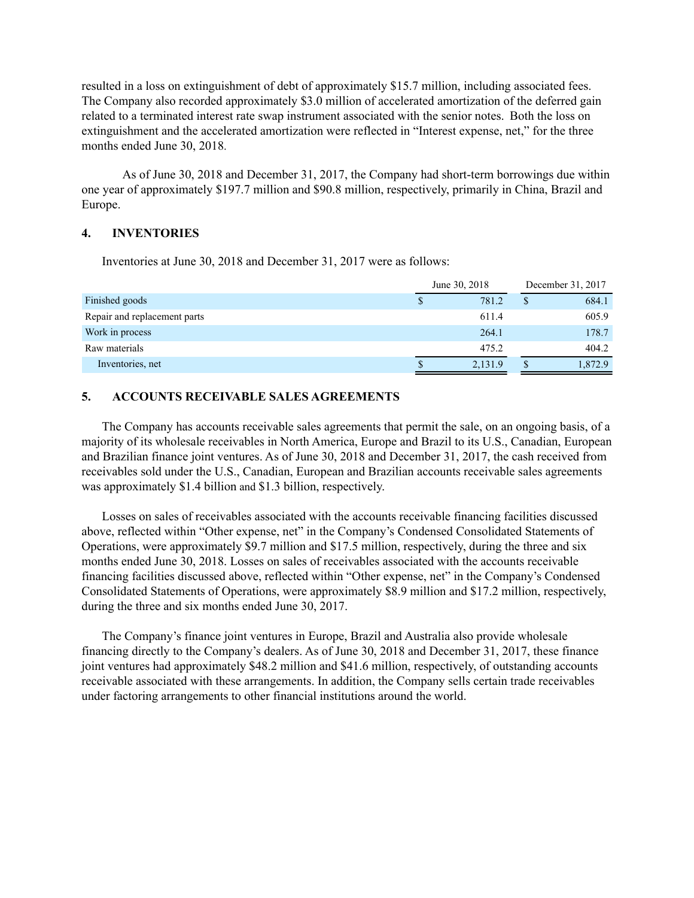resulted in a loss on extinguishment of debt of approximately \$15.7 million, including associated fees. The Company also recorded approximately \$3.0 million of accelerated amortization of the deferred gain related to a terminated interest rate swap instrument associated with the senior notes. Both the loss on extinguishment and the accelerated amortization were reflected in "Interest expense, net," for the three months ended June 30, 2018.

As of June 30, 2018 and December 31, 2017, the Company had short-term borrowings due within one year of approximately \$197.7 million and \$90.8 million, respectively, primarily in China, Brazil and Europe.

#### **4. INVENTORIES**

Inventories at June 30, 2018 and December 31, 2017 were as follows:

|                              | June 30, 2018 | December 31, 2017 |         |  |
|------------------------------|---------------|-------------------|---------|--|
| Finished goods               | 781.2         |                   | 684.1   |  |
| Repair and replacement parts | 611.4         |                   | 605.9   |  |
| Work in process              | 264.1         |                   | 178.7   |  |
| Raw materials                | 475.2         |                   | 404.2   |  |
| Inventories, net             | 2,131.9       |                   | 1,872.9 |  |

### **5. ACCOUNTS RECEIVABLE SALES AGREEMENTS**

The Company has accounts receivable sales agreements that permit the sale, on an ongoing basis, of a majority of its wholesale receivables in North America, Europe and Brazil to its U.S., Canadian, European and Brazilian finance joint ventures. As of June 30, 2018 and December 31, 2017, the cash received from receivables sold under the U.S., Canadian, European and Brazilian accounts receivable sales agreements was approximately \$1.4 billion and \$1.3 billion, respectively.

Losses on sales of receivables associated with the accounts receivable financing facilities discussed above, reflected within "Other expense, net" in the Company's Condensed Consolidated Statements of Operations, were approximately \$9.7 million and \$17.5 million, respectively, during the three and six months ended June 30, 2018. Losses on sales of receivables associated with the accounts receivable financing facilities discussed above, reflected within "Other expense, net" in the Company's Condensed Consolidated Statements of Operations, were approximately \$8.9 million and \$17.2 million, respectively, during the three and six months ended June 30, 2017.

The Company's finance joint ventures in Europe, Brazil and Australia also provide wholesale financing directly to the Company's dealers. As of June 30, 2018 and December 31, 2017, these finance joint ventures had approximately \$48.2 million and \$41.6 million, respectively, of outstanding accounts receivable associated with these arrangements. In addition, the Company sells certain trade receivables under factoring arrangements to other financial institutions around the world.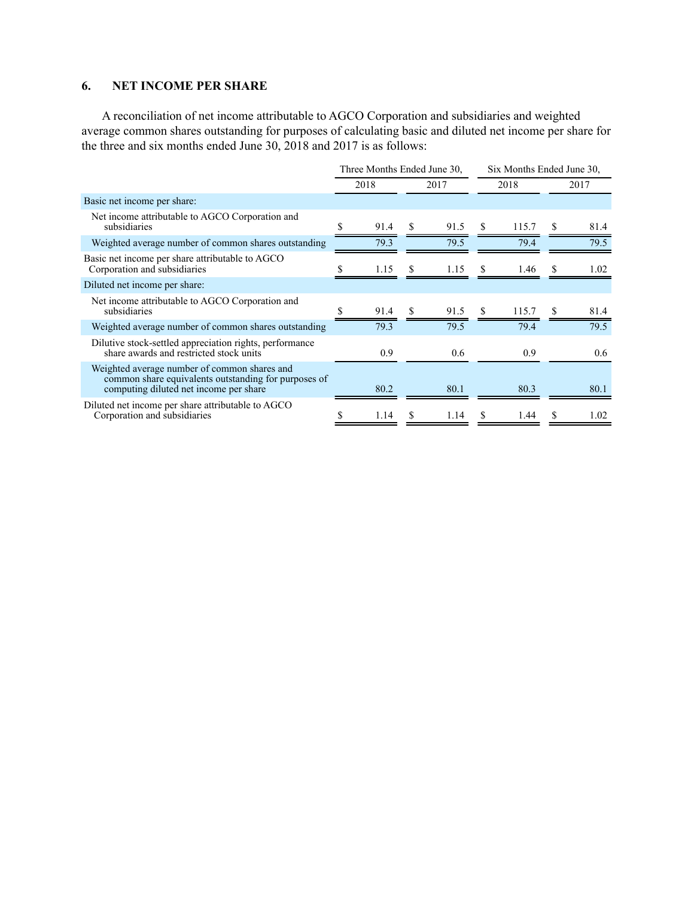### **6. NET INCOME PER SHARE**

A reconciliation of net income attributable to AGCO Corporation and subsidiaries and weighted average common shares outstanding for purposes of calculating basic and diluted net income per share for the three and six months ended June 30, 2018 and 2017 is as follows:

|                                                                                                                                                | Three Months Ended June 30, |      |      |      | Six Months Ended June 30. |       |      |      |
|------------------------------------------------------------------------------------------------------------------------------------------------|-----------------------------|------|------|------|---------------------------|-------|------|------|
|                                                                                                                                                |                             | 2018 | 2017 |      | 2018                      |       | 2017 |      |
| Basic net income per share:                                                                                                                    |                             |      |      |      |                           |       |      |      |
| Net income attributable to AGCO Corporation and<br>subsidiaries                                                                                | \$                          | 91.4 | S    | 91.5 | S                         | 115.7 | S    | 81.4 |
| Weighted average number of common shares outstanding                                                                                           |                             | 79.3 |      | 79.5 |                           | 79.4  |      | 79.5 |
| Basic net income per share attributable to AGCO<br>Corporation and subsidiaries                                                                | S                           | 1.15 | S    | 1.15 | S                         | 1.46  | S    | 1.02 |
| Diluted net income per share:                                                                                                                  |                             |      |      |      |                           |       |      |      |
| Net income attributable to AGCO Corporation and<br>subsidiaries                                                                                |                             | 91.4 | \$.  | 91.5 | \$.                       | 115.7 | S    | 81.4 |
| Weighted average number of common shares outstanding                                                                                           |                             | 79.3 |      | 79.5 |                           | 79.4  |      | 79.5 |
| Dilutive stock-settled appreciation rights, performance<br>share awards and restricted stock units                                             |                             | 0.9  |      | 0.6  |                           | 0.9   |      | 0.6  |
| Weighted average number of common shares and<br>common share equivalents outstanding for purposes of<br>computing diluted net income per share |                             | 80.2 |      | 80.1 |                           | 80.3  |      | 80.1 |
| Diluted net income per share attributable to AGCO<br>Corporation and subsidiaries                                                              |                             | 1.14 |      | 1.14 |                           | 1.44  |      | 1.02 |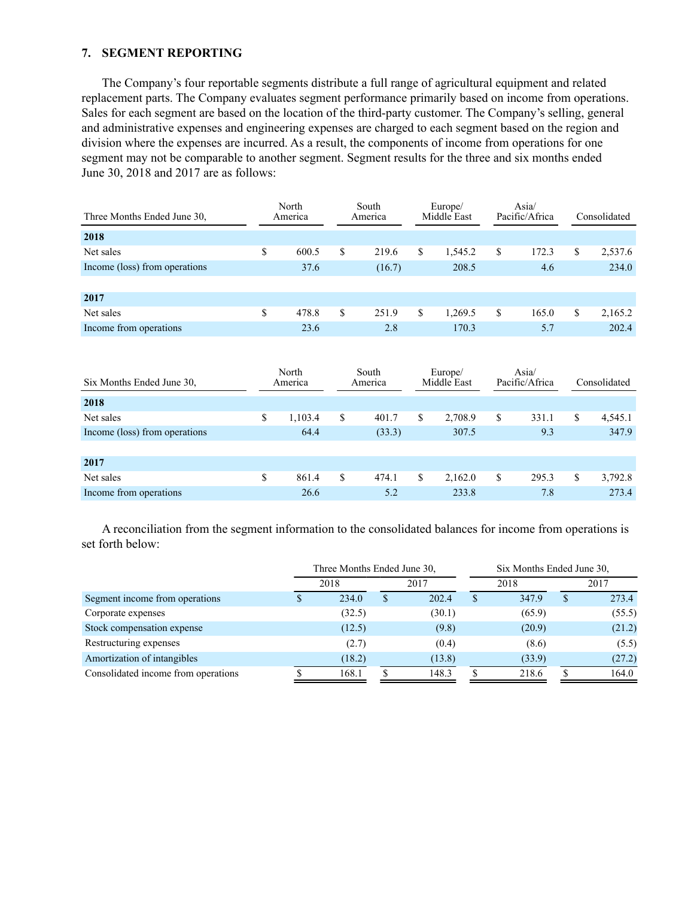## **7. SEGMENT REPORTING**

The Company's four reportable segments distribute a full range of agricultural equipment and related replacement parts. The Company evaluates segment performance primarily based on income from operations. Sales for each segment are based on the location of the third-party customer. The Company's selling, general and administrative expenses and engineering expenses are charged to each segment based on the region and division where the expenses are incurred. As a result, the components of income from operations for one segment may not be comparable to another segment. Segment results for the three and six months ended June 30, 2018 and 2017 are as follows:

| Three Months Ended June 30,   | North<br>America |    | South<br>America | Europe/<br>Middle East | Asia/<br>Pacific/Africa |    | Consolidated |
|-------------------------------|------------------|----|------------------|------------------------|-------------------------|----|--------------|
| 2018                          |                  |    |                  |                        |                         |    |              |
| Net sales                     | \$<br>600.5      | S  | 219.6            | \$<br>1,545.2          | \$<br>172.3             | S  | 2,537.6      |
| Income (loss) from operations | 37.6             |    | (16.7)           | 208.5                  | 4.6                     |    | 234.0        |
|                               |                  |    |                  |                        |                         |    |              |
| 2017                          |                  |    |                  |                        |                         |    |              |
| Net sales                     | \$<br>478.8      | \$ | 251.9            | \$<br>1.269.5          | \$<br>165.0             | \$ | 2,165.2      |
| Income from operations        | 23.6             |    | 2.8              | 170.3                  | 5.7                     |    | 202.4        |

| Six Months Ended June 30,     | North<br>America |   | South<br>America |    | Europe/<br>Middle East | Asia/<br>Pacific/Africa |   | Consolidated |
|-------------------------------|------------------|---|------------------|----|------------------------|-------------------------|---|--------------|
| 2018                          |                  |   |                  |    |                        |                         |   |              |
| Net sales                     | \$<br>1,103.4    | S | 401.7            | \$ | 2,708.9                | \$<br>331.1             | S | 4,545.1      |
| Income (loss) from operations | 64.4             |   | (33.3)           |    | 307.5                  | 9.3                     |   | 347.9        |
|                               |                  |   |                  |    |                        |                         |   |              |
| 2017                          |                  |   |                  |    |                        |                         |   |              |
| Net sales                     | \$<br>861.4      | S | 474.1            | S  | 2,162.0                | \$<br>295.3             | S | 3,792.8      |
| Income from operations        | 26.6             |   | 5.2              |    | 233.8                  | 7.8                     |   | 273.4        |

A reconciliation from the segment information to the consolidated balances for income from operations is set forth below:

|                                     | Three Months Ended June 30, |   |        | Six Months Ended June 30, |        |   |        |  |  |
|-------------------------------------|-----------------------------|---|--------|---------------------------|--------|---|--------|--|--|
|                                     | 2018                        |   | 2017   |                           | 2018   |   | 2017   |  |  |
| Segment income from operations      | 234.0                       | S | 202.4  | <sup>S</sup>              | 347.9  | S | 273.4  |  |  |
| Corporate expenses                  | (32.5)                      |   | (30.1) |                           | (65.9) |   | (55.5) |  |  |
| Stock compensation expense          | (12.5)                      |   | (9.8)  |                           | (20.9) |   | (21.2) |  |  |
| Restructuring expenses              | (2.7)                       |   | (0.4)  |                           | (8.6)  |   | (5.5)  |  |  |
| Amortization of intangibles         | (18.2)                      |   | (13.8) |                           | (33.9) |   | (27.2) |  |  |
| Consolidated income from operations | 168.1                       |   | 148.3  |                           | 218.6  |   | 164.0  |  |  |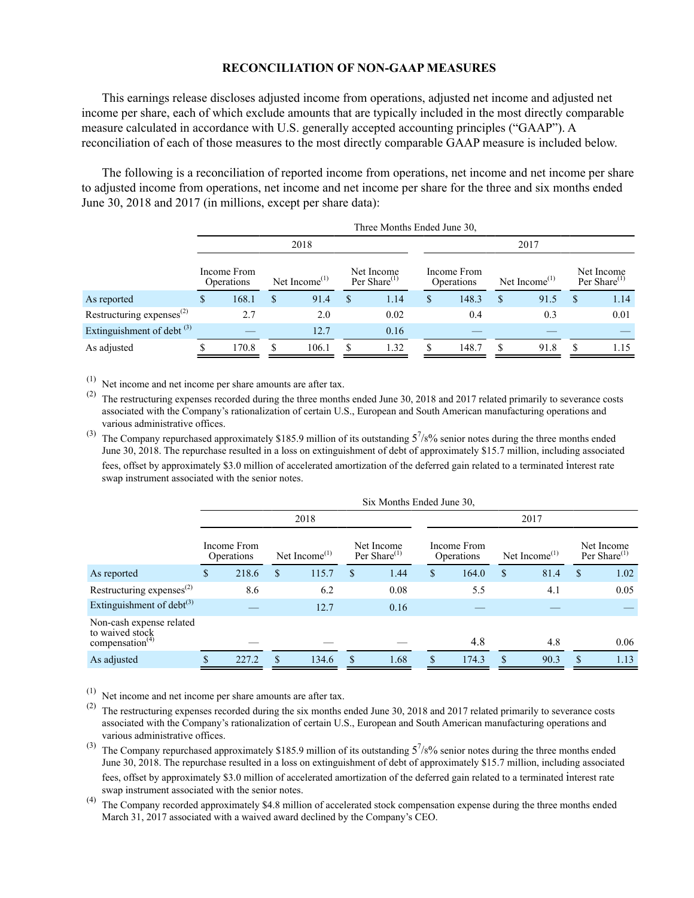#### **RECONCILIATION OF NON-GAAP MEASURES**

This earnings release discloses adjusted income from operations, adjusted net income and adjusted net income per share, each of which exclude amounts that are typically included in the most directly comparable measure calculated in accordance with U.S. generally accepted accounting principles ("GAAP"). A reconciliation of each of those measures to the most directly comparable GAAP measure is included below.

The following is a reconciliation of reported income from operations, net income and net income per share to adjusted income from operations, net income and net income per share for the three and six months ended June 30, 2018 and 2017 (in millions, except per share data):

|                                 | Three Months Ended June 30, |       |                                        |       |    |                                        |      |                           |   |                                        |   |                               |  |  |
|---------------------------------|-----------------------------|-------|----------------------------------------|-------|----|----------------------------------------|------|---------------------------|---|----------------------------------------|---|-------------------------------|--|--|
|                                 |                             |       |                                        | 2018  |    |                                        | 2017 |                           |   |                                        |   |                               |  |  |
|                                 | Income From<br>Operations   |       | Net Income <sup><math>(1)</math></sup> |       |    | Net Income<br>Per Share <sup>(1)</sup> |      | Income From<br>Operations |   | Net Income <sup><math>(1)</math></sup> |   | Net Income<br>Per Share $(1)$ |  |  |
| As reported                     | S                           | 168.1 | \$                                     | 91.4  | \$ | 1.14                                   | \$   | 148.3                     | S | 91.5                                   | S | 1.14                          |  |  |
| Restructuring expenses $^{(2)}$ |                             | 2.7   |                                        | 2.0   |    | 0.02                                   |      | 0.4                       |   | 0.3                                    |   | 0.01                          |  |  |
| Extinguishment of debt $(3)$    |                             |       |                                        | 12.7  |    | 0.16                                   |      |                           |   |                                        |   |                               |  |  |
| As adjusted                     |                             | 170.8 |                                        | 106.1 |    | 1.32                                   |      | 148.7                     |   | 91.8                                   |   | 1.15                          |  |  |

 $(1)$  Net income and net income per share amounts are after tax.

 $(2)$  The restructuring expenses recorded during the three months ended June 30, 2018 and 2017 related primarily to severance costs associated with the Company's rationalization of certain U.S., European and South American manufacturing operations and various administrative offices.

<sup>(3)</sup> The Company repurchased approximately \$185.9 million of its outstanding  $5^{7}/8\%$  senior notes during the three months ended June 30, 2018. The repurchase resulted in a loss on extinguishment of debt of approximately \$15.7 million, including associated fees, offset by approximately \$3.0 million of accelerated amortization of the deferred gain related to a terminated interest rate swap instrument associated with the senior notes.

|                                                                   | Six Months Ended June 30, |                           |                     |       |                               |      |                           |       |                                        |      |                                        |      |  |  |
|-------------------------------------------------------------------|---------------------------|---------------------------|---------------------|-------|-------------------------------|------|---------------------------|-------|----------------------------------------|------|----------------------------------------|------|--|--|
|                                                                   |                           |                           |                     | 2018  |                               |      | 2017                      |       |                                        |      |                                        |      |  |  |
|                                                                   |                           | Income From<br>Operations | Net Income $^{(1)}$ |       | Net Income<br>Per Share $(1)$ |      | Income From<br>Operations |       | Net Income <sup><math>(1)</math></sup> |      | Net Income<br>Per Share <sup>(1)</sup> |      |  |  |
| As reported                                                       | S.                        | 218.6                     | \$                  | 115.7 | <sup>\$</sup>                 | 1.44 | \$                        | 164.0 | S                                      | 81.4 | S                                      | 1.02 |  |  |
| Restructuring expenses $^{(2)}$                                   |                           | 8.6                       |                     | 6.2   |                               | 0.08 |                           | 5.5   |                                        | 4.1  |                                        | 0.05 |  |  |
| Extinguishment of $debt^{(3)}$                                    |                           |                           |                     | 12.7  |                               | 0.16 |                           |       |                                        |      |                                        |      |  |  |
| Non-cash expense related<br>to waived stock<br>compensation $(4)$ |                           |                           |                     |       |                               |      |                           | 4.8   |                                        | 4.8  |                                        | 0.06 |  |  |
| As adjusted                                                       |                           | 227.2                     | $\mathbf{\hat{S}}$  | 134.6 | S.                            | 1.68 | £.                        | 174.3 | S                                      | 90.3 |                                        | 1.13 |  |  |

 $(1)$  Net income and net income per share amounts are after tax.

- (2) The restructuring expenses recorded during the six months ended June 30, 2018 and 2017 related primarily to severance costs associated with the Company's rationalization of certain U.S., European and South American manufacturing operations and various administrative offices.
- <sup>(3)</sup> The Company repurchased approximately \$185.9 million of its outstanding  $5^{7}/8\%$  senior notes during the three months ended June 30, 2018. The repurchase resulted in a loss on extinguishment of debt of approximately \$15.7 million, including associated fees, offset by approximately \$3.0 million of accelerated amortization of the deferred gain related to a terminated interest rate swap instrument associated with the senior notes.
- $(4)$  The Company recorded approximately \$4.8 million of accelerated stock compensation expense during the three months ended March 31, 2017 associated with a waived award declined by the Company's CEO.